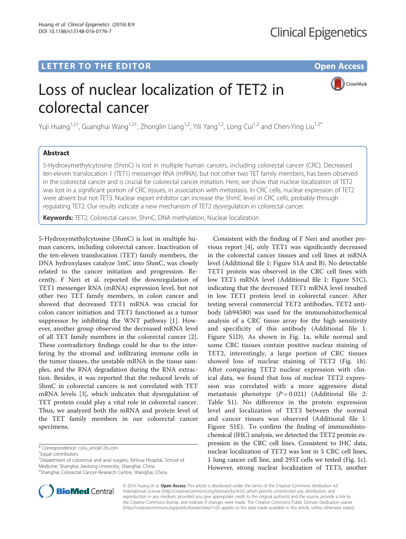CrossMark

# Loss of nuclear localization of TET2 in colorectal cancer

Yuji Huang<sup>1,2†</sup>, Guanghui Wang<sup>1,2†</sup>, Zhonglin Liang<sup>1,2</sup>, Yili Yang<sup>1,2</sup>, Long Cui<sup>1,2</sup> and Chen-Ying Liu<sup>1,2\*</sup>

## Abstract

5-Hydroxymethylcytosine (5hmC) is lost in multiple human cancers, including colorectal cancer (CRC). Decreased ten-eleven translocation 1 (TET1) messenger RNA (mRNA), but not other two TET family members, has been observed in the colorectal cancer and is crucial for colorectal cancer initiation. Here, we show that nuclear localization of TET2 was lost in a significant portion of CRC tissues, in association with metastasis. In CRC cells, nuclear expression of TET2 were absent but not TET3. Nuclear export inhibitor can increase the 5hmC level in CRC cells, probably through regulating TET2. Our results indicate a new mechanism of TET2 dysregulation in colorectal cancer.

Keywords: TET2, Colorectal cancer, 5hmC, DNA methylation, Nuclear localization

5-Hydroxymethylcytosine (5hmC) is lost in multiple human cancers, including colorectal cancer. Inactivation of the ten-eleven translocation (TET) family members, the DNA hydroxylases catalyze 5mC into 5hmC, was closely related to the cancer initiation and progression. Recently, F Neri et al. reported the downregulation of TET1 messenger RNA (mRNA) expression level, but not other two TET family members, in colon cancer and showed that decreased TET1 mRNA was crucial for colon cancer initiation and TET1 functioned as a tumor suppressor by inhibiting the WNT pathway [\[1](#page-2-0)]. However, another group observed the decreased mRNA level of all TET family members in the colorectal cancer [\[2](#page-2-0)]. These contradictory findings could be due to the interfering by the stromal and infiltrating immune cells in the tumor tissues, the unstable mRNA in the tissue samples, and the RNA degradation during the RNA extraction. Besides, it was reported that the reduced levels of 5hmC in colorectal cancers is not correlated with TET mRNA levels [[3](#page-2-0)], which indicates that dysregulation of TET protein could play a vital role in colorectal cancer. Thus, we analyzed both the mRNA and protein level of the TET family members in our colorectal cancer specimens.

<sup>1</sup>Department of colorectal and anal surgery, Xinhua Hospital, School of Medicine, Shanghai Jiaotong University, Shanghai, China <sup>2</sup>Shanghai Colorectal Cancer Research Centre, Shanghai, China

Consistent with the finding of F Neri and another previous report [[4\]](#page-2-0), only TET1 was significantly decreased in the colorectal cancer tissues and cell lines at mRNA level (Additional file [1:](#page-2-0) Figure S1A and B). No detectable TET1 protein was observed in the CRC cell lines with low TET1 mRNA level (Additional file [1:](#page-2-0) Figure S1C), indicating that the decreased TET1 mRNA level resulted in low TET1 protein level in colorectal cancer. After testing several commercial TET2 antibodies, TET2 antibody (ab94580) was used for the immunohistochemical analysis of a CRC tissue array for the high sensitivity and specificity of this antibody (Additional file [1](#page-2-0): Figure S1D). As shown in Fig. [1a](#page-1-0), while normal and some CRC tissues contain positive nuclear staining of TET2, interestingly, a large portion of CRC tissues showed loss of nuclear staining of TET2 (Fig. [1b](#page-1-0)). After comparing TET2 nuclear expression with clinical data, we found that loss of nuclear TET2 expression was correlated with a more aggressive distal metastasis phenotype  $(P = 0.021)$  (Additional file [2](#page-2-0): Table S1). No difference in the protein expression level and localization of TET3 between the normal and cancer tissues was observed (Additional file [1](#page-2-0): Figure S1E). To confirm the finding of immunohistochemical (IHC) analysis, we detected the TET2 protein expression in the CRC cell lines. Consistent to IHC data, nuclear localization of TET2 was lost in 5 CRC cell lines, 1 lung cancer cell line, and 293T cells we tested (Fig. [1c](#page-1-0)). However, strong nuclear localization of TET3, another



© 2016 Huang et al. Open Access This article is distributed under the terms of the Creative Commons Attribution 4.0 International License [\(http://creativecommons.org/licenses/by/4.0/](http://creativecommons.org/licenses/by/4.0/)), which permits unrestricted use, distribution, and reproduction in any medium, provided you give appropriate credit to the original author(s) and the source, provide a link to the Creative Commons license, and indicate if changes were made. The Creative Commons Public Domain Dedication waiver [\(http://creativecommons.org/publicdomain/zero/1.0/](http://creativecommons.org/publicdomain/zero/1.0/)) applies to the data made available in this article, unless otherwise stated.

<sup>\*</sup> Correspondence: [cyliu\\_eric@126.com](mailto:cyliu_eric@126.com) †

Equal contributors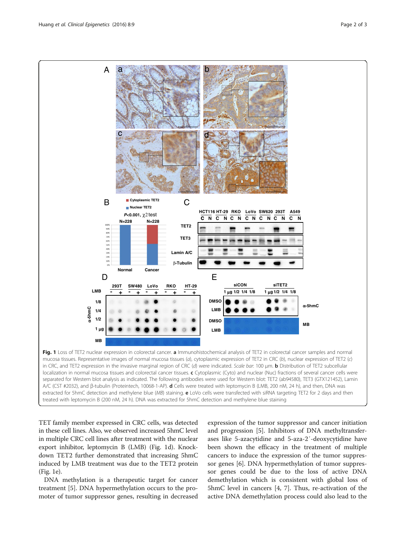<span id="page-1-0"></span>

TET family member expressed in CRC cells, was detected in these cell lines. Also, we observed increased 5hmC level in multiple CRC cell lines after treatment with the nuclear export inhibitor, leptomycin B (LMB) (Fig. 1d). Knockdown TET2 further demonstrated that increasing 5hmC induced by LMB treatment was due to the TET2 protein (Fig. 1e).

DNA methylation is a therapeutic target for cancer treatment [[5\]](#page-2-0). DNA hypermethylation occurs to the promoter of tumor suppressor genes, resulting in decreased

expression of the tumor suppressor and cancer initiation and progression [[5\]](#page-2-0). Inhibitors of DNA methyltransferases like 5-azacytidine and 5-aza-2′-deoxycytidine have been shown the efficacy in the treatment of multiple cancers to induce the expression of the tumor suppressor genes [[6\]](#page-2-0). DNA hypermethylation of tumor suppressor genes could be due to the loss of active DNA demethylation which is consistent with global loss of 5hmC level in cancers [[4, 7\]](#page-2-0). Thus, re-activation of the active DNA demethylation process could also lead to the